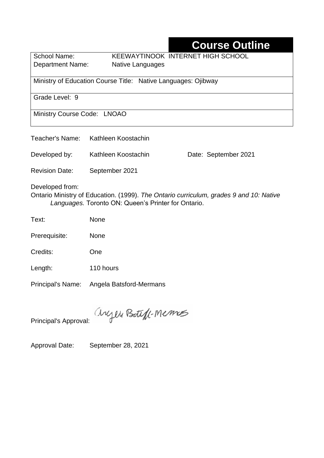# **Course Outline**

School Name: KEEWAYTINOOK INTERNET HIGH SCHOOL Department Name:Native Languages

Ministry of Education Course Title:Native Languages: Ojibway

Grade Level: 9

Ministry Course Code: LNOAO

| Teacher's Name:                                                                                                                                                  | Kathleen Koostachin |                      |  |  |  |
|------------------------------------------------------------------------------------------------------------------------------------------------------------------|---------------------|----------------------|--|--|--|
| Developed by:                                                                                                                                                    | Kathleen Koostachin | Date: September 2021 |  |  |  |
| <b>Revision Date:</b>                                                                                                                                            | September 2021      |                      |  |  |  |
| Developed from:<br>Ontario Ministry of Education. (1999). The Ontario curriculum, grades 9 and 10: Native<br>Languages. Toronto ON: Queen's Printer for Ontario. |                     |                      |  |  |  |
| Text:                                                                                                                                                            | <b>None</b>         |                      |  |  |  |
| Prerequisite:                                                                                                                                                    | None                |                      |  |  |  |

Credits: One

Length: 110 hours

Principal's Name: Angela Batsford-Mermans

anyen Boteft-Memos

Principal's Approval:

Approval Date: September 28, 2021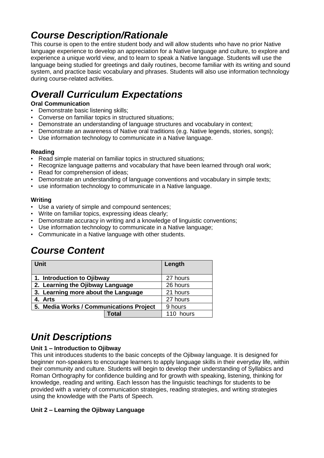## *Course Description/Rationale*

This course is open to the entire student body and will allow students who have no prior Native language experience to develop an appreciation for a Native language and culture, to explore and experience a unique world view, and to learn to speak a Native language. Students will use the language being studied for greetings and daily routines, become familiar with its writing and sound system, and practice basic vocabulary and phrases. Students will also use information technology during course-related activities.

# *Overall Curriculum Expectations*

#### **Oral Communication**

- Demonstrate basic listening skills;
- Converse on familiar topics in structured situations;
- Demonstrate an understanding of language structures and vocabulary in context;
- Demonstrate an awareness of Native oral traditions (e.g. Native legends, stories, songs);
- Use information technology to communicate in a Native language.

#### **Reading**

- Read simple material on familiar topics in structured situations;
- Recognize language patterns and vocabulary that have been learned through oral work;
- Read for comprehension of ideas;
- Demonstrate an understanding of language conventions and vocabulary in simple texts;
- use information technology to communicate in a Native language.

#### **Writing**

- Use a variety of simple and compound sentences;
- Write on familiar topics, expressing ideas clearly;
- Demonstrate accuracy in writing and a knowledge of linguistic conventions;
- Use information technology to communicate in a Native language;
- Communicate in a Native language with other students.

## *Course Content*

| <b>Unit</b>                             | Length   |           |
|-----------------------------------------|----------|-----------|
| 1. Introduction to Ojibway              | 27 hours |           |
| 2. Learning the Ojibway Language        | 26 hours |           |
| 3. Learning more about the Language     | 21 hours |           |
| 4. Arts                                 | 27 hours |           |
| 5. Media Works / Communications Project | 9 hours  |           |
|                                         | Total    | 110 hours |

## *Unit Descriptions*

#### **Unit 1 – Introduction to Ojibway**

This unit introduces students to the basic concepts of the Ojibway language. It is designed for beginner non-speakers to encourage learners to apply language skills in their everyday life, within their community and culture. Students will begin to develop their understanding of Syllabics and Roman Orthography for confidence building and for growth with speaking, listening, thinking for knowledge, reading and writing. Each lesson has the linguistic teachings for students to be provided with a variety of communication strategies, reading strategies, and writing strategies using the knowledge with the Parts of Speech.

#### **Unit 2 – Learning the Ojibway Language**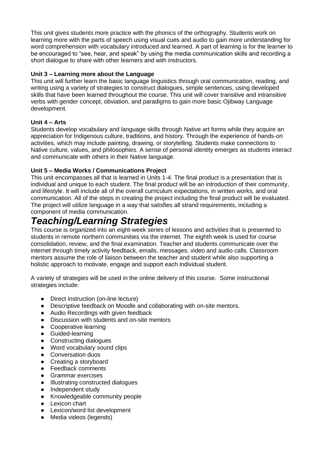This unit gives students more practice with the phonics of the orthography. Students work on learning more with the parts of speech using visual cues and audio to gain more understanding for word comprehension with vocabulary introduced and learned. A part of learning is for the learner to be encouraged to "see, hear, and speak" by using the media communication skills and recording a short dialogue to share with other learners and with instructors.

#### **Unit 3 – Learning more about the Language**

This unit will further learn the basic language linguistics through oral communication, reading, and writing using a variety of strategies to construct dialogues, simple sentences, using developed skills that have been learned throughout the course. This unit will cover transitive and intransitive verbs with gender concept, obviation, and paradigms to gain more basic Ojibway Language development.

#### **Unit 4 – Arts**

Students develop vocabulary and language skills through Native art forms while they acquire an appreciation for Indigenous culture, traditions, and history. Through the experience of hands-on activities, which may include painting, drawing, or storytelling. Students make connections to Native culture, values, and philosophies. A sense of personal identity emerges as students interact and communicate with others in their Native language.

#### **Unit 5 – Media Works / Communications Project**

This unit encompasses all that is learned in Units 1-4. The final product is a presentation that is individual and unique to each student. The final product will be an introduction of their community, and lifestyle. It will include all of the overall curriculum expectations, in written works, and oral communication. All of the steps in creating the project including the final product will be evaluated. The project will utilize language in a way that satisfies all strand requirements, including a component of media communication.

### *Teaching/Learning Strategies*

This course is organized into an eight-week series of lessons and activities that is presented to students in remote northern communities via the internet. The eighth week is used for course consolidation, review, and the final examination. Teacher and students communicate over the internet through timely activity feedback, emails, messages, video and audio calls. Classroom mentors assume the role of liaison between the teacher and student while also supporting a holistic approach to motivate, engage and support each individual student.

A variety of strategies will be used in the online delivery of this course. Some instructional strategies include:

- Direct instruction (on-line lecture)
- Descriptive feedback on Moodle and collaborating with on-site mentors.
- Audio Recordings with given feedback
- Discussion with students and on-site mentors
- Cooperative learning
- Guided-learning
- Constructing dialogues
- Word vocabulary sound clips
- Conversation duos
- Creating a storyboard
- Feedback comments
- Grammar exercises
- Illustrating constructed dialogues
- Independent study
- Knowledgeable community people
- Lexicon chart
- Lexicon/word list development<br>● Media videos (legends)
- Media videos (legends)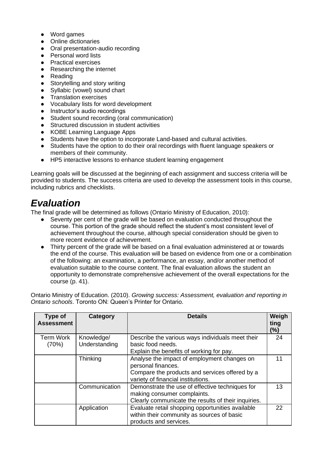- Word games
- Online dictionaries
- Oral presentation-audio recording
- Personal word lists
- Practical exercises
- Researching the internet
- Reading
- Storytelling and story writing
- Syllabic (vowel) sound chart
- Translation exercises
- Vocabulary lists for word development
- Instructor's audio recordings
- Student sound recording (oral communication)
- Structured discussion in student activities
- KOBE Learning Language Apps
- Students have the option to incorporate Land-based and cultural activities.
- Students have the option to do their oral recordings with fluent language speakers or members of their community.
- HP5 interactive lessons to enhance student learning engagement

Learning goals will be discussed at the beginning of each assignment and success criteria will be provided to students. The success criteria are used to develop the assessment tools in this course, including rubrics and checklists.

### *Evaluation*

The final grade will be determined as follows (Ontario Ministry of Education, 2010):

- Seventy per cent of the grade will be based on evaluation conducted throughout the course. This portion of the grade should reflect the student's most consistent level of achievement throughout the course, although special consideration should be given to more recent evidence of achievement.
- Thirty percent of the grade will be based on a final evaluation administered at or towards the end of the course. This evaluation will be based on evidence from one or a combination of the following: an examination, a performance, an essay, and/or another method of evaluation suitable to the course content. The final evaluation allows the student an opportunity to demonstrate comprehensive achievement of the overall expectations for the course (p. 41).

Ontario Ministry of Education. (2010). *Growing success: Assessment, evaluation and reporting in Ontario schools*. Toronto ON: Queen's Printer for Ontario.

| Type of<br><b>Assessment</b> | Category                    | <b>Details</b>                                                                                                                                            | Weigh<br>ting<br>(%) |
|------------------------------|-----------------------------|-----------------------------------------------------------------------------------------------------------------------------------------------------------|----------------------|
| <b>Term Work</b><br>(70%)    | Knowledge/<br>Understanding | Describe the various ways individuals meet their<br>basic food needs.<br>Explain the benefits of working for pay.                                         | 24                   |
|                              | Thinking                    | Analyse the impact of employment changes on<br>personal finances.<br>Compare the products and services offered by a<br>variety of financial institutions. | 11                   |
|                              | Communication               | Demonstrate the use of effective techniques for<br>making consumer complaints.<br>Clearly communicate the results of their inquiries.                     | 13                   |
|                              | Application                 | Evaluate retail shopping opportunities available<br>within their community as sources of basic<br>products and services.                                  | 22                   |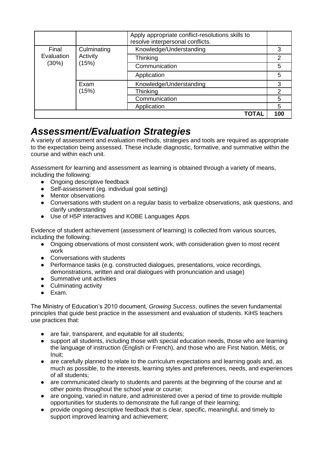|                              |                                  | Apply appropriate conflict-resolutions skills to<br>resolve interpersonal conflicts. |               |
|------------------------------|----------------------------------|--------------------------------------------------------------------------------------|---------------|
| Final<br>Evaluation<br>(30%) | Culminating<br>Activity<br>(15%) | Knowledge/Understanding                                                              | 3             |
|                              |                                  | Thinking                                                                             | 2             |
|                              |                                  | Communication                                                                        | 5             |
|                              |                                  | Application                                                                          | 5             |
|                              | Exam                             | Knowledge/Understanding                                                              | 3             |
|                              | (15%)                            | Thinking                                                                             | $\mathcal{P}$ |
|                              |                                  | Communication                                                                        | 5             |
|                              |                                  | Application                                                                          | 5             |
|                              |                                  | TOTAL                                                                                | 100           |

### *Assessment/Evaluation Strategies*

A variety of assessment and evaluation methods, strategies and tools are required as appropriate to the expectation being assessed. These include diagnostic, formative, and summative within the course and within each unit.

Assessment *for* learning and assessment *as* learning is obtained through a variety of means, including the following:

- Ongoing descriptive feedback
- Self-assessment (eg. individual goal setting)
- Mentor observations
- Conversations with student on a regular basis to verbalize observations, ask questions, and clarify understanding
- Use of H5P interactives and KOBE Languages Apps

Evidence of student achievement (assessment *of* learning) is collected from various sources, including the following:

- Ongoing observations of most consistent work, with consideration given to most recent work
- Conversations with students
- Performance tasks (e.g. constructed dialogues, presentations, voice recordings, demonstrations, written and oral dialogues with pronunciation and usage)
- Summative unit activities
- Culminating activity
- Exam.

The Ministry of Education's 2010 document, *Growing Success*, outlines the seven fundamental principles that guide best practice in the assessment and evaluation of students. KiHS teachers use practices that:

- are fair, transparent, and equitable for all students;
- support all students, including those with special education needs, those who are learning the language of instruction (English or French), and those who are First Nation, Métis, or Inuit;
- are carefully planned to relate to the curriculum expectations and learning goals and, as much as possible, to the interests, learning styles and preferences, needs, and experiences of all students;
- are communicated clearly to students and parents at the beginning of the course and at other points throughout the school year or course;
- are ongoing, varied in nature, and administered over a period of time to provide multiple opportunities for students to demonstrate the full range of their learning;
- provide ongoing descriptive feedback that is clear, specific, meaningful, and timely to support improved learning and achievement;